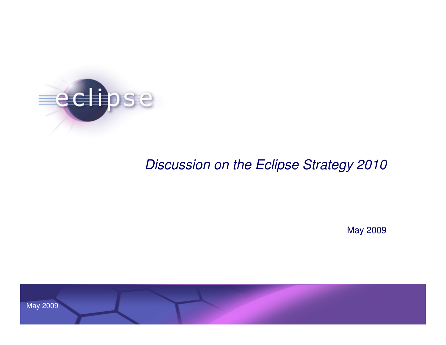

## Discussion on the Eclipse Strategy 2010

May 2009

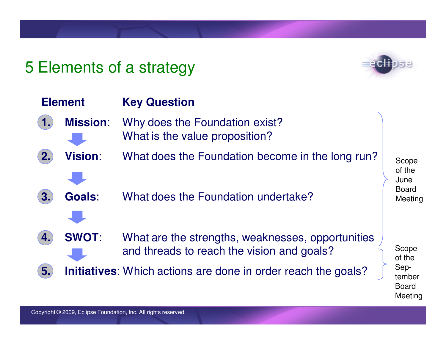## 5 Elements of a strategy



Meeting

| <b>Element</b> |                 | <b>Key Question</b>                                                                             |  |                                |  |
|----------------|-----------------|-------------------------------------------------------------------------------------------------|--|--------------------------------|--|
|                | <b>Mission:</b> | Why does the Foundation exist?<br>What is the value proposition?                                |  |                                |  |
| 2.             | <b>Vision:</b>  | What does the Foundation become in the long run?                                                |  | Scope<br>of the<br>June        |  |
| 3.             | <b>Goals:</b>   | What does the Foundation undertake?                                                             |  | <b>Board</b><br>Meeting        |  |
| 4.             | <b>SWOT:</b>    | What are the strengths, weaknesses, opportunities<br>and threads to reach the vision and goals? |  | Scope<br>of the                |  |
| 5.             |                 | <b>Initiatives:</b> Which actions are done in order reach the goals?                            |  | Sep-<br>tember<br><b>Board</b> |  |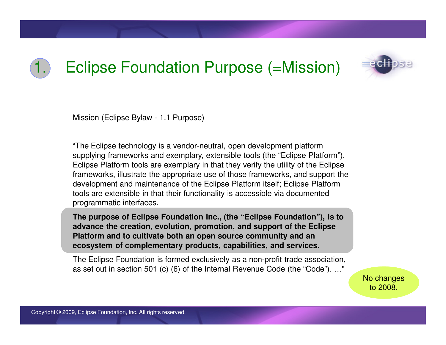## 1. Eclipse Foundation Purpose (=Mission)



Mission (Eclipse Bylaw - 1.1 Purpose)

"The Eclipse technology is a vendor-neutral, open development platform supplying frameworks and exemplary, extensible tools (the "Eclipse Platform"). Eclipse Platform tools are exemplary in that they verify the utility of the Eclipse frameworks, illustrate the appropriate use of those frameworks, and support the development and maintenance of the Eclipse Platform itself; Eclipse Platform tools are extensible in that their functionality is accessible via documented programmatic interfaces.

**The purpose of Eclipse Foundation Inc., (the "Eclipse Foundation"), is to advance the creation, evolution, promotion, and support of the Eclipse Platform and to cultivate both an open source community and an ecosystem of complementary products, capabilities, and services.**

The Eclipse Foundation is formed exclusively as a non-profit trade association, as set out in section 501 (c) (6) of the Internal Revenue Code (the "Code"). …"

> No changesto 2008.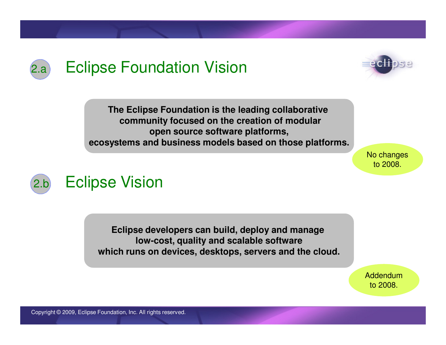

**The Eclipse Foundation is the leading collaborativecommunity focused on the creation of modularopen source software platforms,ecosystems and business models based on those platforms.**

> No changesto 2008.



**Eclipse developers can build, deploy and manage low-cost, quality and scalable softwarewhich runs on devices, desktops, servers and the cloud.**

> Addendumto 2008.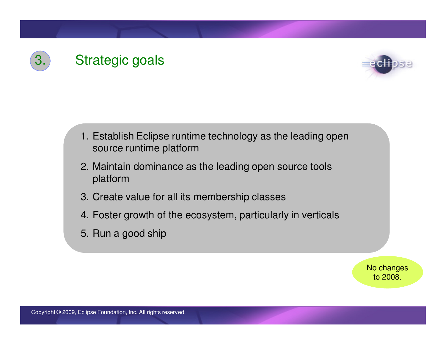



- 1. Establish Eclipse runtime technology as the leading open source runtime platform
- 2. Maintain dominance as the leading open source tools platform
- 3. Create value for all its membership classes
- 4. Foster growth of the ecosystem, particularly in verticals
- 5. Run a good ship

No changesto 2008.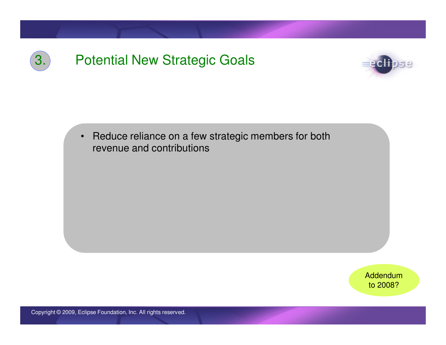



• Reduce reliance on a few strategic members for both revenue and contributions

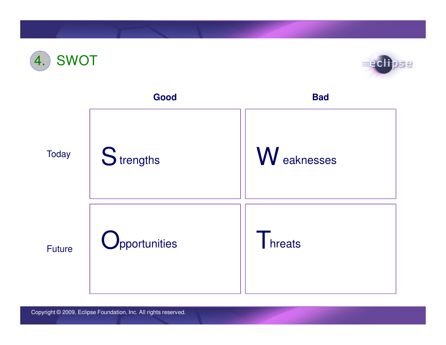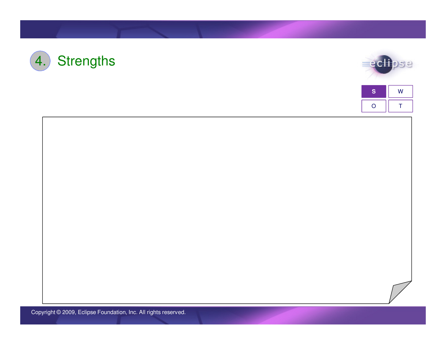





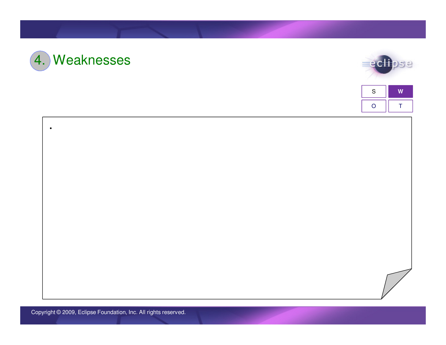



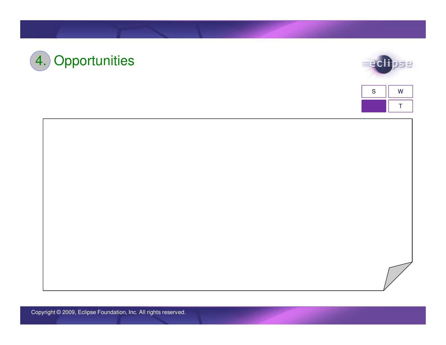



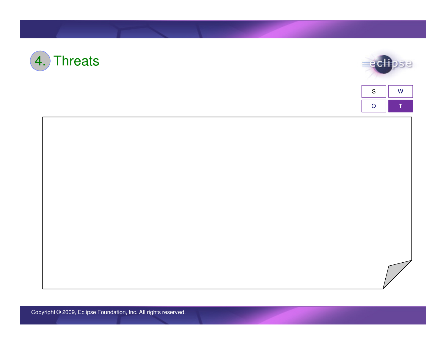



| S | W |  |
|---|---|--|
|   |   |  |